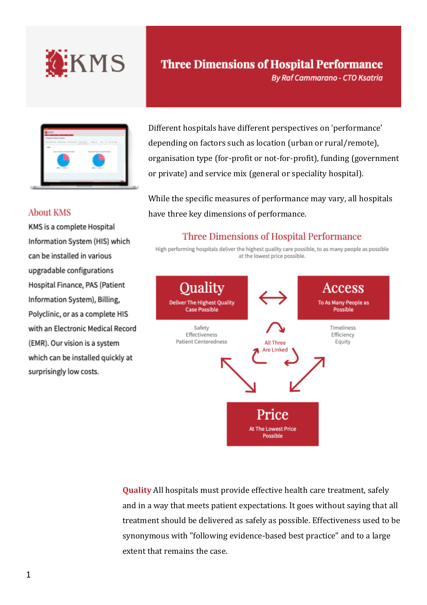

| and Shareh Arena |    |                          |  |
|------------------|----|--------------------------|--|
|                  |    | $m \mid m \mid n \mid m$ |  |
|                  |    |                          |  |
|                  | -- | $\sim$                   |  |
|                  |    |                          |  |

# **Three Dimensions of Hospital Performance**

**By Raf Cammarano - CTO Ksatria** 

Different hospitals have different perspectives on 'performance' depending on factors such as location (urban or rural/remote), organisation type (for-profit or not-for-profit), funding (government or private) and service mix (general or speciality hospital).

While the specific measures of performance may vary, all hospitals have three key dimensions of performance.

## **Three Dimensions of Hospital Performance**

High performing hospitals deliver the highest quality care possible, to as many people as possible at the lowest price possible.



**Quality** All hospitals must provide effective health care treatment, safely and in a way that meets patient expectations. It goes without saying that all treatment should be delivered as safely as possible. Effectiveness used to be synonymous with "following evidence-based best practice" and to a large extent that remains the case.

### **About KMS**

KMS is a complete Hospital Information System (HIS) which can be installed in various upgradable configurations Hospital Finance, PAS (Patient Information System), Billing, Polyclinic, or as a complete HIS with an Electronic Medical Record (EMR). Our vision is a system which can be installed quickly at surprisingly low costs.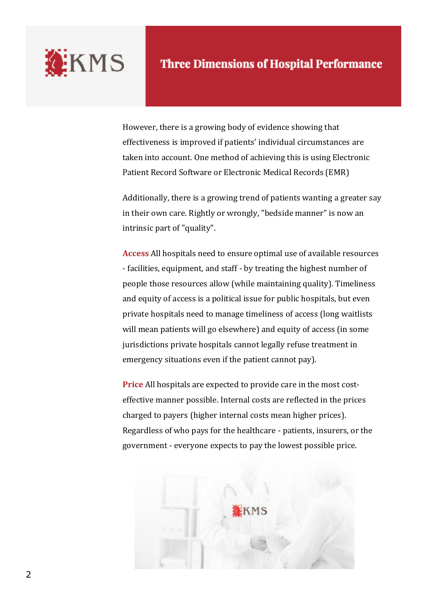

However, there is a growing body of evidence showing that effectiveness is improved if patients' individual circumstances are taken into account. One method of achieving this is using Electronic Patient Record Software or Electronic Medical Records (EMR)

Additionally, there is a growing trend of patients wanting a greater say in their own care. Rightly or wrongly, "bedside manner" is now an intrinsic part of "quality".

**Access** All hospitals need to ensure optimal use of available resources - facilities, equipment, and staff - by treating the highest number of people those resources allow (while maintaining quality). Timeliness and equity of access is a political issue for public hospitals, but even private hospitals need to manage timeliness of access (long waitlists will mean patients will go elsewhere) and equity of access (in some jurisdictions private hospitals cannot legally refuse treatment in emergency situations even if the patient cannot pay).

**Price** All hospitals are expected to provide care in the most costeffective manner possible. Internal costs are reflected in the prices charged to payers (higher internal costs mean higher prices). Regardless of who pays for the healthcare - patients, insurers, or the government - everyone expects to pay the lowest possible price.

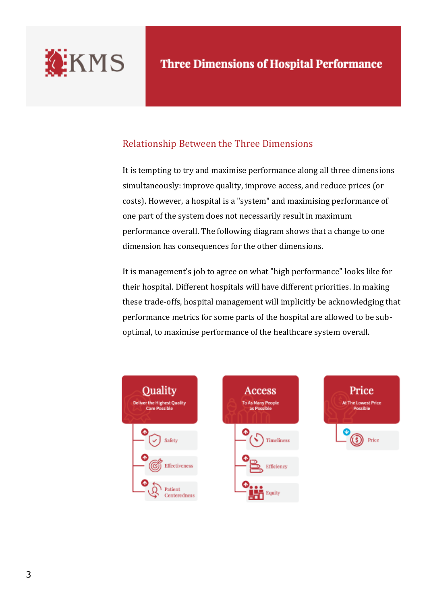

## Relationship Between the Three Dimensions

It is tempting to try and maximise performance along all three dimensions simultaneously: improve quality, improve access, and reduce prices (or costs). However, a hospital is a "system" and maximising performance of one part of the system does not necessarily result in maximum performance overall. The following diagram shows that a change to one dimension has consequences for the other dimensions.

It is management's job to agree on what "high performance" looks like for their hospital. Different hospitals will have different priorities. In making these trade-offs, hospital management will implicitly be acknowledging that performance metrics for some parts of the hospital are allowed to be suboptimal, to maximise performance of the healthcare system overall.



**Access** To As Many People<br>as Possible Timeliness Efficiency Equity

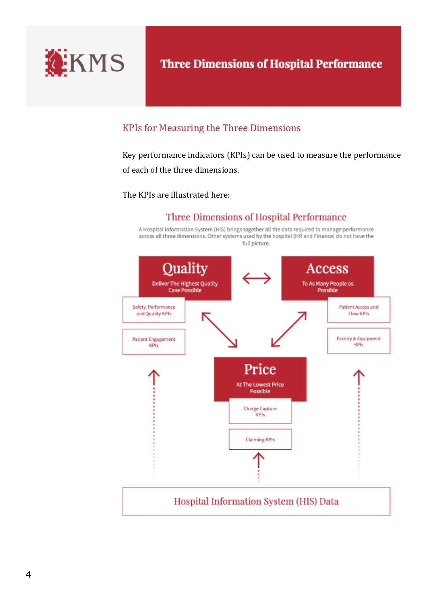

# **Three Dimensions of Hospital Performance**

## KPIs for Measuring the Three Dimensions

Key performance indicators (KPIs) can be used to measure the performance of each of the three dimensions.

The KPIs are illustrated here:

## Three Dimensions of Hospital Performance

A Hospital Information System (HIS) brings together all the data required to manage performance across all three dimensions. Other systems used by the hospital (HR and Finance) do not have the full picture.

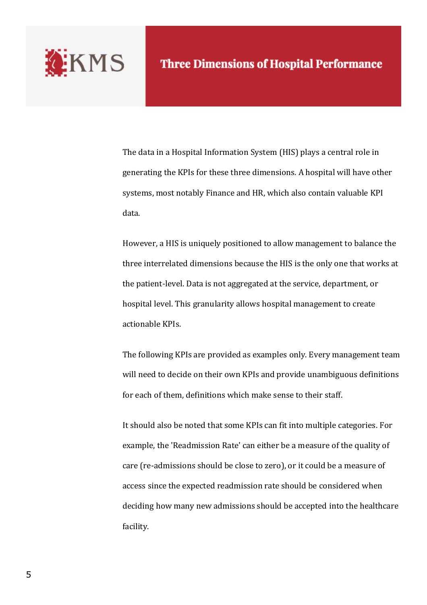

The data in a Hospital Information System (HIS) plays a central role in generating the KPIs for these three dimensions. A hospital will have other systems, most notably Finance and HR, which also contain valuable KPI data.

However, a HIS is uniquely positioned to allow management to balance the three interrelated dimensions because the HIS is the only one that works at the patient-level. Data is not aggregated at the service, department, or hospital level. This granularity allows hospital management to create actionable KPIs.

The following KPIs are provided as examples only. Every management team will need to decide on their own KPIs and provide unambiguous definitions for each of them, definitions which make sense to their staff.

It should also be noted that some KPIs can fit into multiple categories. For example, the 'Readmission Rate' can either be a measure of the quality of care (re-admissions should be close to zero), or it could be a measure of access since the expected readmission rate should be considered when deciding how many new admissions should be accepted into the healthcare facility.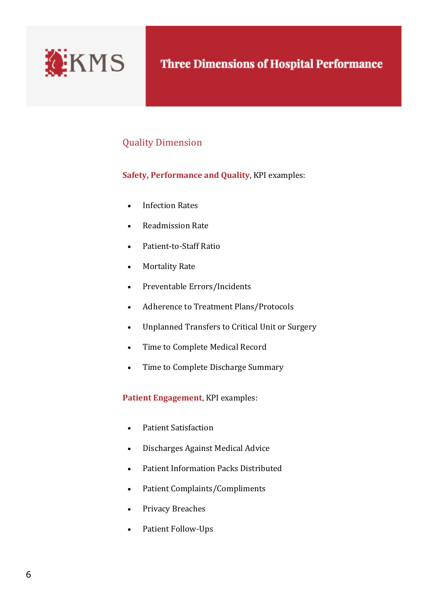

## Quality Dimension

### **Safety, Performance and Quality**, KPI examples:

- Infection Rates
- Readmission Rate
- Patient-to-Staff Ratio
- Mortality Rate
- Preventable Errors/Incidents
- Adherence to Treatment Plans/Protocols
- Unplanned Transfers to Critical Unit or Surgery
- Time to Complete Medical Record
- Time to Complete Discharge Summary

**Patient Engagement**, KPI examples:

- Patient Satisfaction
- Discharges Against Medical Advice
- Patient Information Packs Distributed
- Patient Complaints/Compliments
- Privacy Breaches
- Patient Follow-Ups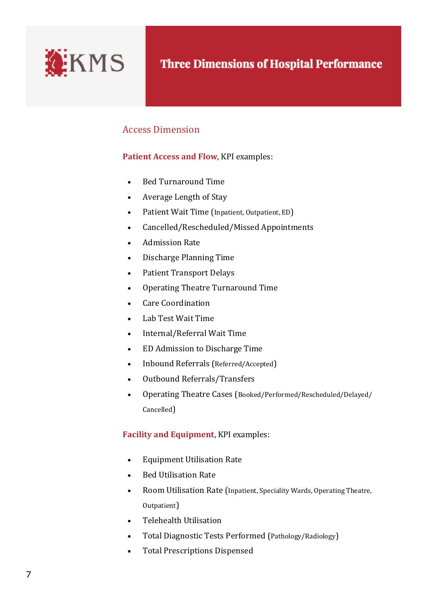

## Access Dimension

### **Patient Access and Flow**, KPI examples:

- Bed Turnaround Time
- Average Length of Stay
- Patient Wait Time (Inpatient, Outpatient, ED)
- Cancelled/Rescheduled/Missed Appointments
- Admission Rate
- Discharge Planning Time
- Patient Transport Delays
- Operating Theatre Turnaround Time
- Care Coordination
- Lab Test Wait Time
- Internal/Referral Wait Time
- ED Admission to Discharge Time
- Inbound Referrals (Referred/Accepted)
- Outbound Referrals/Transfers
- Operating Theatre Cases (Booked/Performed/Rescheduled/Delayed/ Cancelled)

#### **Facility and Equipment**, KPI examples:

- Equipment Utilisation Rate
- Bed Utilisation Rate
- Room Utilisation Rate (Inpatient, Speciality Wards, Operating Theatre, Outpatient)
- Telehealth Utilisation
- Total Diagnostic Tests Performed (Pathology/Radiology)
- Total Prescriptions Dispensed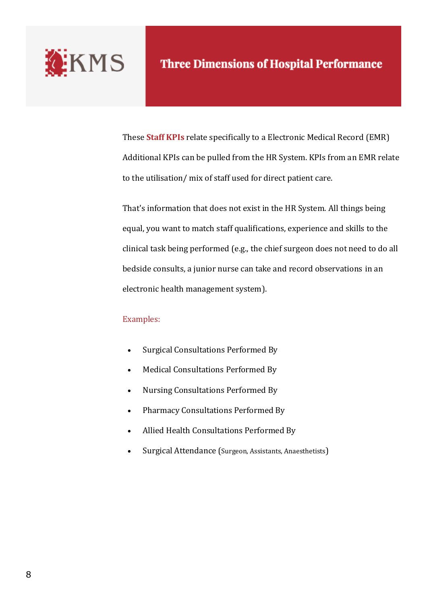

These **Staff KPIs** relate specifically to a Electronic Medical Record (EMR) Additional KPIs can be pulled from the HR System. KPIs from an EMR relate to the utilisation/ mix of staff used for direct patient care.

That's information that does not exist in the HR System. All things being equal, you want to match staff qualifications, experience and skills to the clinical task being performed (e.g., the chief surgeon does not need to do all bedside consults, a junior nurse can take and record observations in an electronic health management system).

#### Examples:

- Surgical Consultations Performed By
- Medical Consultations Performed By
- Nursing Consultations Performed By
- Pharmacy Consultations Performed By
- Allied Health Consultations Performed By
- Surgical Attendance (Surgeon, Assistants, Anaesthetists)